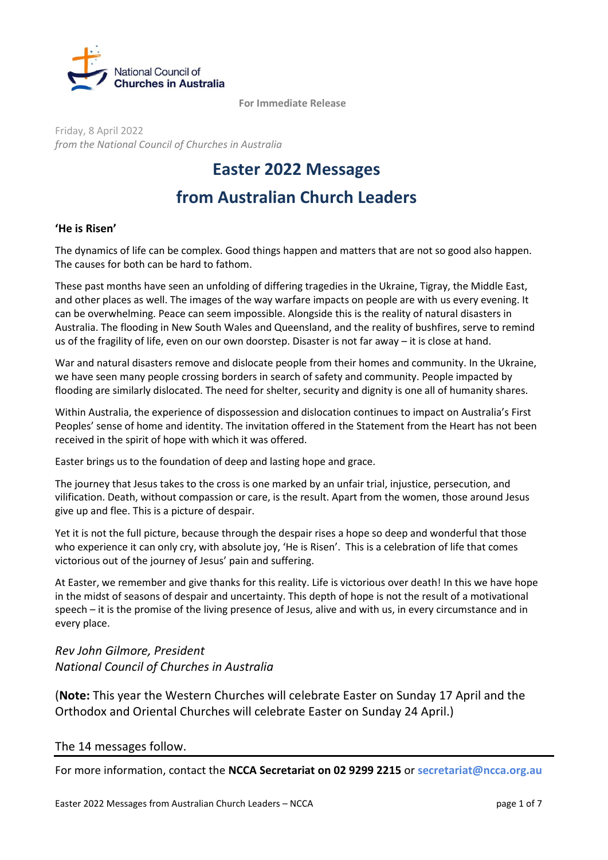

**For Immediate Release** 

Friday, 8 April 2022 *from the National Council of Churches in Australia*

#### **Easter 2022 Messages**

# **from Australian Church Leaders**

#### **'He is Risen'**

The dynamics of life can be complex. Good things happen and matters that are not so good also happen. The causes for both can be hard to fathom.

These past months have seen an unfolding of differing tragedies in the Ukraine, Tigray, the Middle East, and other places as well. The images of the way warfare impacts on people are with us every evening. It can be overwhelming. Peace can seem impossible. Alongside this is the reality of natural disasters in Australia. The flooding in New South Wales and Queensland, and the reality of bushfires, serve to remind us of the fragility of life, even on our own doorstep. Disaster is not far away – it is close at hand.

War and natural disasters remove and dislocate people from their homes and community. In the Ukraine, we have seen many people crossing borders in search of safety and community. People impacted by flooding are similarly dislocated. The need for shelter, security and dignity is one all of humanity shares.

Within Australia, the experience of dispossession and dislocation continues to impact on Australia's First Peoples' sense of home and identity. The invitation offered in the Statement from the Heart has not been received in the spirit of hope with which it was offered.

Easter brings us to the foundation of deep and lasting hope and grace.

The journey that Jesus takes to the cross is one marked by an unfair trial, injustice, persecution, and vilification. Death, without compassion or care, is the result. Apart from the women, those around Jesus give up and flee. This is a picture of despair.

Yet it is not the full picture, because through the despair rises a hope so deep and wonderful that those who experience it can only cry, with absolute joy, 'He is Risen'. This is a celebration of life that comes victorious out of the journey of Jesus' pain and suffering.

At Easter, we remember and give thanks for this reality. Life is victorious over death! In this we have hope in the midst of seasons of despair and uncertainty. This depth of hope is not the result of a motivational speech – it is the promise of the living presence of Jesus, alive and with us, in every circumstance and in every place.

*Rev John Gilmore, President National Council of Churches in Australia*

(**Note:** This year the Western Churches will celebrate Easter on Sunday 17 April and the Orthodox and Oriental Churches will celebrate Easter on Sunday 24 April.)

#### The 14 messages follow.

For more information, contact the **NCCA Secretariat on 02 9299 2215** or **[secretariat@ncca.org.au](mailto:secretariat@ncca.org.au)**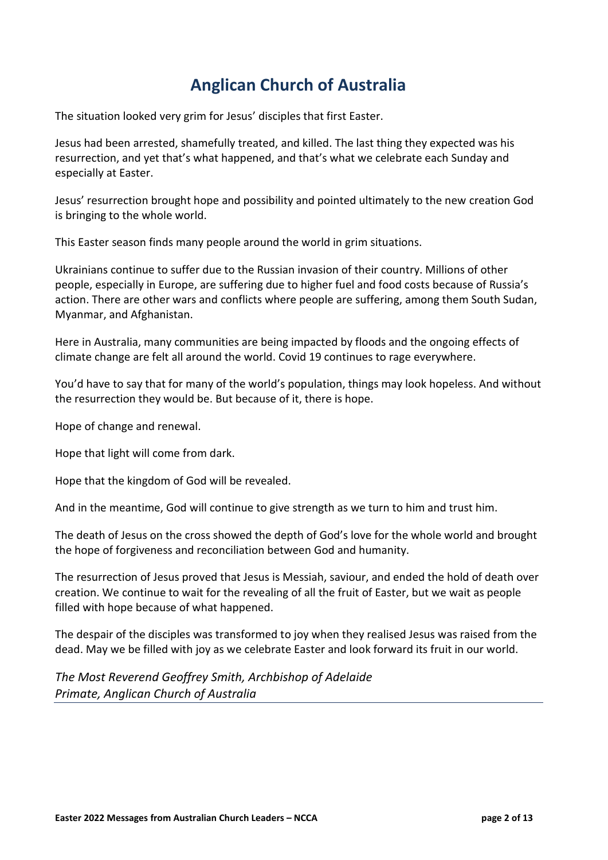# **Anglican Church of Australia**

The situation looked very grim for Jesus' disciples that first Easter.

Jesus had been arrested, shamefully treated, and killed. The last thing they expected was his resurrection, and yet that's what happened, and that's what we celebrate each Sunday and especially at Easter.

Jesus' resurrection brought hope and possibility and pointed ultimately to the new creation God is bringing to the whole world.

This Easter season finds many people around the world in grim situations.

Ukrainians continue to suffer due to the Russian invasion of their country. Millions of other people, especially in Europe, are suffering due to higher fuel and food costs because of Russia's action. There are other wars and conflicts where people are suffering, among them South Sudan, Myanmar, and Afghanistan.

Here in Australia, many communities are being impacted by floods and the ongoing effects of climate change are felt all around the world. Covid 19 continues to rage everywhere.

You'd have to say that for many of the world's population, things may look hopeless. And without the resurrection they would be. But because of it, there is hope.

Hope of change and renewal.

Hope that light will come from dark.

Hope that the kingdom of God will be revealed.

And in the meantime, God will continue to give strength as we turn to him and trust him.

The death of Jesus on the cross showed the depth of God's love for the whole world and brought the hope of forgiveness and reconciliation between God and humanity.

The resurrection of Jesus proved that Jesus is Messiah, saviour, and ended the hold of death over creation. We continue to wait for the revealing of all the fruit of Easter, but we wait as people filled with hope because of what happened.

The despair of the disciples was transformed to joy when they realised Jesus was raised from the dead. May we be filled with joy as we celebrate Easter and look forward its fruit in our world.

*The Most Reverend Geoffrey Smith, Archbishop of Adelaide Primate, Anglican Church of Australia*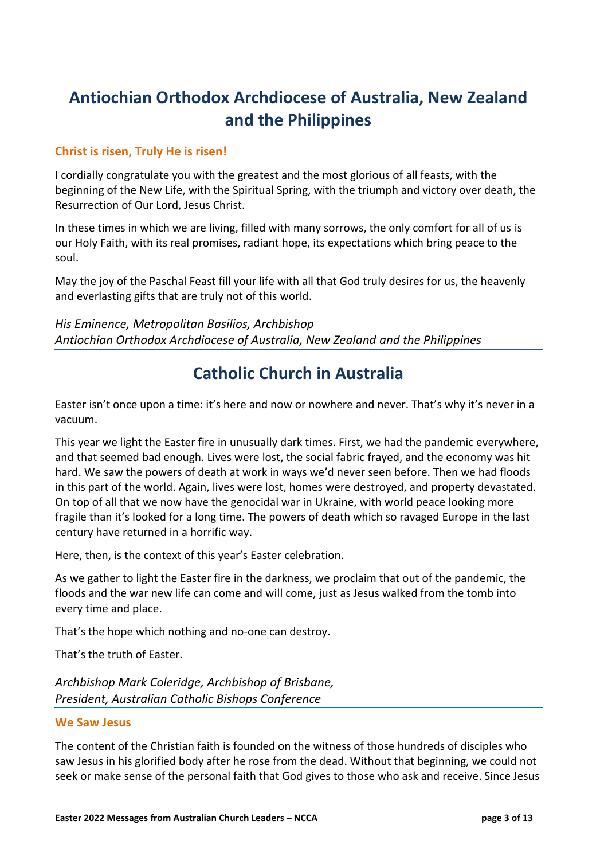# **Antiochian Orthodox Archdiocese of Australia, New Zealand and the Philippines**

#### **Christ is risen, Truly He is risen!**

I cordially congratulate you with the greatest and the most glorious of all feasts, with the beginning of the New Life, with the Spiritual Spring, with the triumph and victory over death, the Resurrection of Our Lord, Jesus Christ.

In these times in which we are living, filled with many sorrows, the only comfort for all of us is our Holy Faith, with its real promises, radiant hope, its expectations which bring peace to the soul.

May the joy of the Paschal Feast fill your life with all that God truly desires for us, the heavenly and everlasting gifts that are truly not of this world.

*His Eminence, Metropolitan Basilios, Archbishop Antiochian Orthodox Archdiocese of Australia, New Zealand and the Philippines*

### **Catholic Church in Australia**

Easter isn't once upon a time: it's here and now or nowhere and never. That's why it's never in a vacuum.

This year we light the Easter fire in unusually dark times. First, we had the pandemic everywhere, and that seemed bad enough. Lives were lost, the social fabric frayed, and the economy was hit hard. We saw the powers of death at work in ways we'd never seen before. Then we had floods in this part of the world. Again, lives were lost, homes were destroyed, and property devastated. On top of all that we now have the genocidal war in Ukraine, with world peace looking more fragile than it's looked for a long time. The powers of death which so ravaged Europe in the last century have returned in a horrific way.

Here, then, is the context of this year's Easter celebration.

As we gather to light the Easter fire in the darkness, we proclaim that out of the pandemic, the floods and the war new life can come and will come, just as Jesus walked from the tomb into every time and place.

That's the hope which nothing and no-one can destroy.

That's the truth of Easter.

*Archbishop Mark Coleridge, Archbishop of Brisbane, President, Australian Catholic Bishops Conference*

#### **We Saw Jesus**

The content of the Christian faith is founded on the witness of those hundreds of disciples who saw Jesus in his glorified body after he rose from the dead. Without that beginning, we could not seek or make sense of the personal faith that God gives to those who ask and receive. Since Jesus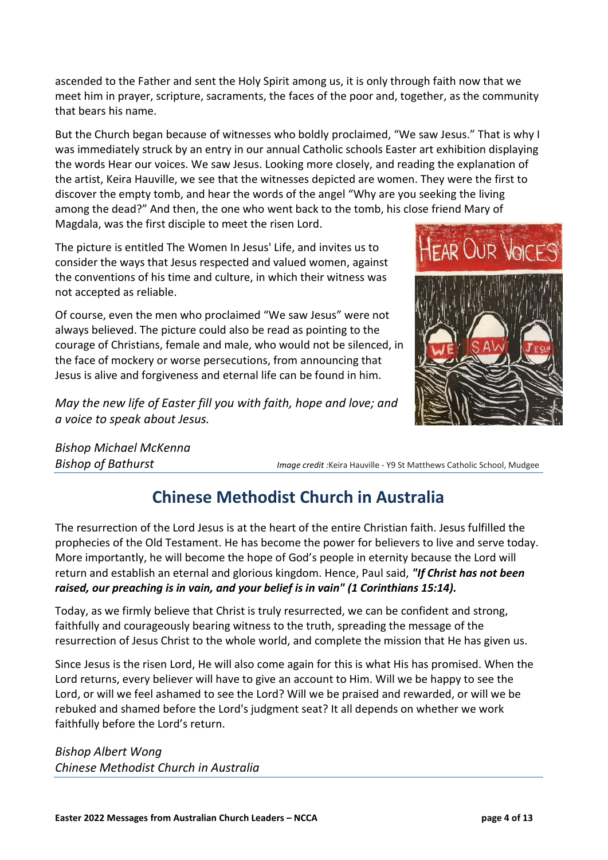ascended to the Father and sent the Holy Spirit among us, it is only through faith now that we meet him in prayer, scripture, sacraments, the faces of the poor and, together, as the community that bears his name.

But the Church began because of witnesses who boldly proclaimed, "We saw Jesus." That is why I was immediately struck by an entry in our annual Catholic schools Easter art exhibition displaying the words Hear our voices. We saw Jesus. Looking more closely, and reading the explanation of the artist, Keira Hauville, we see that the witnesses depicted are women. They were the first to discover the empty tomb, and hear the words of the angel "Why are you seeking the living among the dead?" And then, the one who went back to the tomb, his close friend Mary of Magdala, was the first disciple to meet the risen Lord.

The picture is entitled The Women In Jesus' Life, and invites us to consider the ways that Jesus respected and valued women, against the conventions of his time and culture, in which their witness was not accepted as reliable.

Of course, even the men who proclaimed "We saw Jesus" were not always believed. The picture could also be read as pointing to the courage of Christians, female and male, who would not be silenced, in the face of mockery or worse persecutions, from announcing that Jesus is alive and forgiveness and eternal life can be found in him.

*May the new life of Easter fill you with faith, hope and love; and a voice to speak about Jesus.*

*Bishop Michael McKenna*

*Bishop of Bathurst Image credit :*Keira Hauville - Y9 St Matthews Catholic School, Mudgee

# **Chinese Methodist Church in Australia**

The resurrection of the Lord Jesus is at the heart of the entire Christian faith. Jesus fulfilled the prophecies of the Old Testament. He has become the power for believers to live and serve today. More importantly, he will become the hope of God's people in eternity because the Lord will return and establish an eternal and glorious kingdom. Hence, Paul said, *"If Christ has not been raised, our preaching is in vain, and your belief is in vain" (1 Corinthians 15:14).* 

Today, as we firmly believe that Christ is truly resurrected, we can be confident and strong, faithfully and courageously bearing witness to the truth, spreading the message of the resurrection of Jesus Christ to the whole world, and complete the mission that He has given us.

Since Jesus is the risen Lord, He will also come again for this is what His has promised. When the Lord returns, every believer will have to give an account to Him. Will we be happy to see the Lord, or will we feel ashamed to see the Lord? Will we be praised and rewarded, or will we be rebuked and shamed before the Lord's judgment seat? It all depends on whether we work faithfully before the Lord's return.

*Bishop Albert Wong Chinese Methodist Church in Australia*

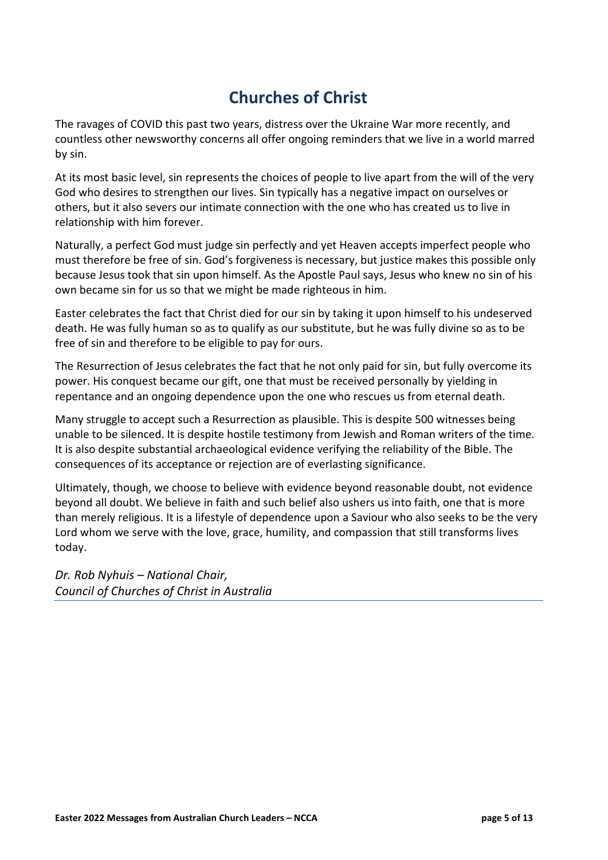# **Churches of Christ**

The ravages of COVID this past two years, distress over the Ukraine War more recently, and countless other newsworthy concerns all offer ongoing reminders that we live in a world marred by sin.

At its most basic level, sin represents the choices of people to live apart from the will of the very God who desires to strengthen our lives. Sin typically has a negative impact on ourselves or others, but it also severs our intimate connection with the one who has created us to live in relationship with him forever.

Naturally, a perfect God must judge sin perfectly and yet Heaven accepts imperfect people who must therefore be free of sin. God's forgiveness is necessary, but justice makes this possible only because Jesus took that sin upon himself. As the Apostle Paul says, Jesus who knew no sin of his own became sin for us so that we might be made righteous in him.

Easter celebrates the fact that Christ died for our sin by taking it upon himself to his undeserved death. He was fully human so as to qualify as our substitute, but he was fully divine so as to be free of sin and therefore to be eligible to pay for ours.

The Resurrection of Jesus celebrates the fact that he not only paid for sin, but fully overcome its power. His conquest became our gift, one that must be received personally by yielding in repentance and an ongoing dependence upon the one who rescues us from eternal death.

Many struggle to accept such a Resurrection as plausible. This is despite 500 witnesses being unable to be silenced. It is despite hostile testimony from Jewish and Roman writers of the time. It is also despite substantial archaeological evidence verifying the reliability of the Bible. The consequences of its acceptance or rejection are of everlasting significance.

Ultimately, though, we choose to believe with evidence beyond reasonable doubt, not evidence beyond all doubt. We believe in faith and such belief also ushers us into faith, one that is more than merely religious. It is a lifestyle of dependence upon a Saviour who also seeks to be the very Lord whom we serve with the love, grace, humility, and compassion that still transforms lives today.

*Dr. Rob Nyhuis – National Chair, Council of Churches of Christ in Australia*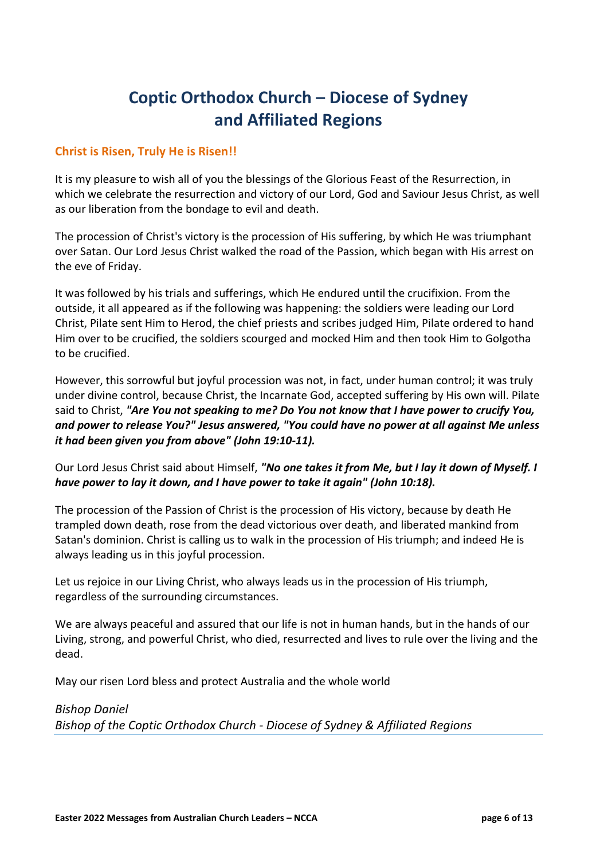# **Coptic Orthodox Church – Diocese of Sydney and Affiliated Regions**

#### **Christ is Risen, Truly He is Risen!!**

It is my pleasure to wish all of you the blessings of the Glorious Feast of the Resurrection, in which we celebrate the resurrection and victory of our Lord, God and Saviour Jesus Christ, as well as our liberation from the bondage to evil and death.

The procession of Christ's victory is the procession of His suffering, by which He was triumphant over Satan. Our Lord Jesus Christ walked the road of the Passion, which began with His arrest on the eve of Friday.

It was followed by his trials and sufferings, which He endured until the crucifixion. From the outside, it all appeared as if the following was happening: the soldiers were leading our Lord Christ, Pilate sent Him to Herod, the chief priests and scribes judged Him, Pilate ordered to hand Him over to be crucified, the soldiers scourged and mocked Him and then took Him to Golgotha to be crucified.

However, this sorrowful but joyful procession was not, in fact, under human control; it was truly under divine control, because Christ, the Incarnate God, accepted suffering by His own will. Pilate said to Christ, *"Are You not speaking to me? Do You not know that I have power to crucify You, and power to release You?" Jesus answered, "You could have no power at all against Me unless it had been given you from above" (John 19:10-11).*

Our Lord Jesus Christ said about Himself, *"No one takes it from Me, but I lay it down of Myself. I have power to lay it down, and I have power to take it again" (John 10:18).*

The procession of the Passion of Christ is the procession of His victory, because by death He trampled down death, rose from the dead victorious over death, and liberated mankind from Satan's dominion. Christ is calling us to walk in the procession of His triumph; and indeed He is always leading us in this joyful procession.

Let us rejoice in our Living Christ, who always leads us in the procession of His triumph, regardless of the surrounding circumstances.

We are always peaceful and assured that our life is not in human hands, but in the hands of our Living, strong, and powerful Christ, who died, resurrected and lives to rule over the living and the dead.

May our risen Lord bless and protect Australia and the whole world

*Bishop Daniel Bishop of the Coptic Orthodox Church - Diocese of Sydney & Affiliated Regions*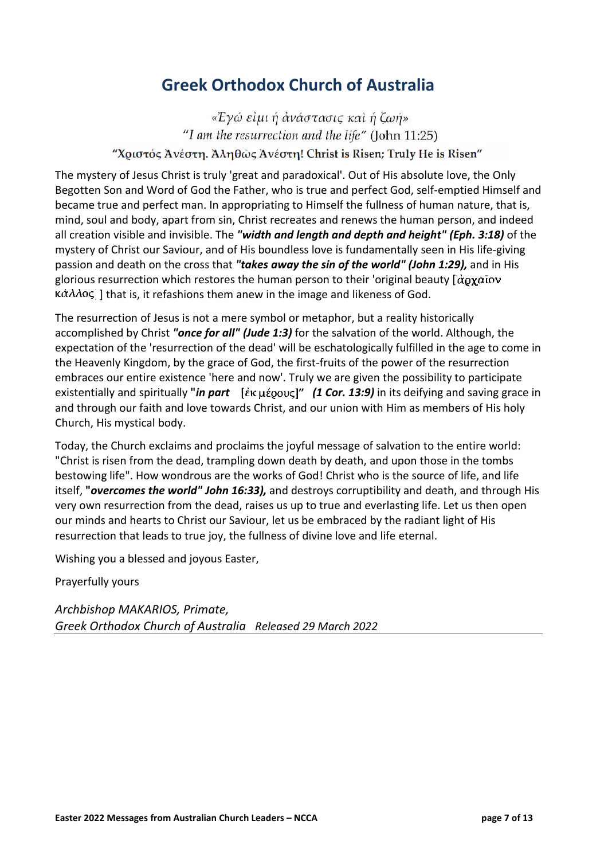### **Greek Orthodox Church of Australia**

«Έγώ είμι ή ανάστασις και ή ζωή» "I am the resurrection and the life" (John 11:25) "Χριστός Άνέστη. Άληθως Άνέστη! Christ is Risen; Truly He is Risen"

The mystery of Jesus Christ is truly 'great and paradoxical'. Out of His absolute love, the Only Begotten Son and Word of God the Father, who is true and perfect God, self-emptied Himself and became true and perfect man. In appropriating to Himself the fullness of human nature, that is, mind, soul and body, apart from sin, Christ recreates and renews the human person, and indeed all creation visible and invisible. The *"width and length and depth and height" (Eph. 3:18)* of the mystery of Christ our Saviour, and of His boundless love is fundamentally seen in His life-giving passion and death on the cross that *"takes away the sin of the world" (John 1:29),* and in His glorious resurrection which restores the human person to their 'original beauty  $\alpha$   $\alpha$   $\alpha$   $\alpha$   $\alpha$  $\kappa\dot{\alpha}\lambda\lambda$ os ] that is, it refashions them anew in the image and likeness of God.

The resurrection of Jesus is not a mere symbol or metaphor, but a reality historically accomplished by Christ *"once for all" (Jude 1:3)* for the salvation of the world. Although, the expectation of the 'resurrection of the dead' will be eschatologically fulfilled in the age to come in the Heavenly Kingdom, by the grace of God, the first-fruits of the power of the resurrection embraces our entire existence 'here and now'. Truly we are given the possibility to participate existentially and spiritually **"***in part (1 Cor. 13:9)* in its deifying and saving grace in and through our faith and love towards Christ, and our union with Him as members of His holy Church, His mystical body.

Today, the Church exclaims and proclaims the joyful message of salvation to the entire world: "Christ is risen from the dead, trampling down death by death, and upon those in the tombs bestowing life". How wondrous are the works of God! Christ who is the source of life, and life itself, **"***overcomes the world" John 16:33),* and destroys corruptibility and death, and through His very own resurrection from the dead, raises us up to true and everlasting life. Let us then open our minds and hearts to Christ our Saviour, let us be embraced by the radiant light of His resurrection that leads to true joy, the fullness of divine love and life eternal.

Wishing you a blessed and joyous Easter,

Prayerfully yours

*Archbishop MAKARIOS, Primate, Greek Orthodox Church of Australia Released 29 March 2022*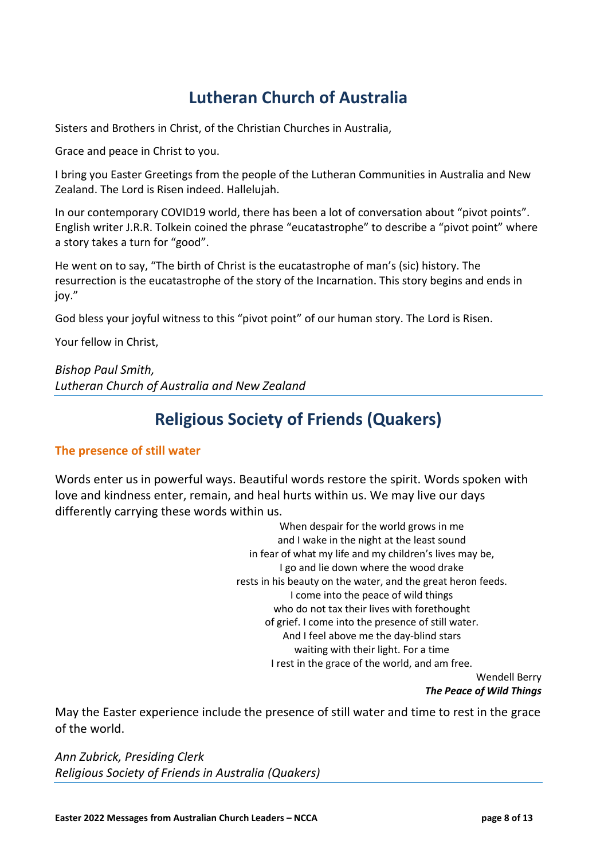# **Lutheran Church of Australia**

Sisters and Brothers in Christ, of the Christian Churches in Australia,

Grace and peace in Christ to you.

I bring you Easter Greetings from the people of the Lutheran Communities in Australia and New Zealand. The Lord is Risen indeed. Hallelujah.

In our contemporary COVID19 world, there has been a lot of conversation about "pivot points". English writer J.R.R. Tolkein coined the phrase "eucatastrophe" to describe a "pivot point" where a story takes a turn for "good".

He went on to say, "The birth of Christ is the eucatastrophe of man's (sic) history. The resurrection is the eucatastrophe of the story of the Incarnation. This story begins and ends in joy."

God bless your joyful witness to this "pivot point" of our human story. The Lord is Risen.

Your fellow in Christ,

*Bishop Paul Smith, Lutheran Church of Australia and New Zealand*

### **Religious Society of Friends (Quakers)**

#### **The presence of still water**

Words enter us in powerful ways. Beautiful words restore the spirit. Words spoken with love and kindness enter, remain, and heal hurts within us. We may live our days differently carrying these words within us.

> When despair for the world grows in me and I wake in the night at the least sound in fear of what my life and my children's lives may be, I go and lie down where the wood drake rests in his beauty on the water, and the great heron feeds. I come into the peace of wild things who do not tax their lives with forethought of grief. I come into the presence of still water. And I feel above me the day-blind stars waiting with their light. For a time I rest in the grace of the world, and am free.

Wendell Berry *The Peace of Wild Things*

May the Easter experience include the presence of still water and time to rest in the grace of the world.

*Ann Zubrick, Presiding Clerk Religious Society of Friends in Australia (Quakers)*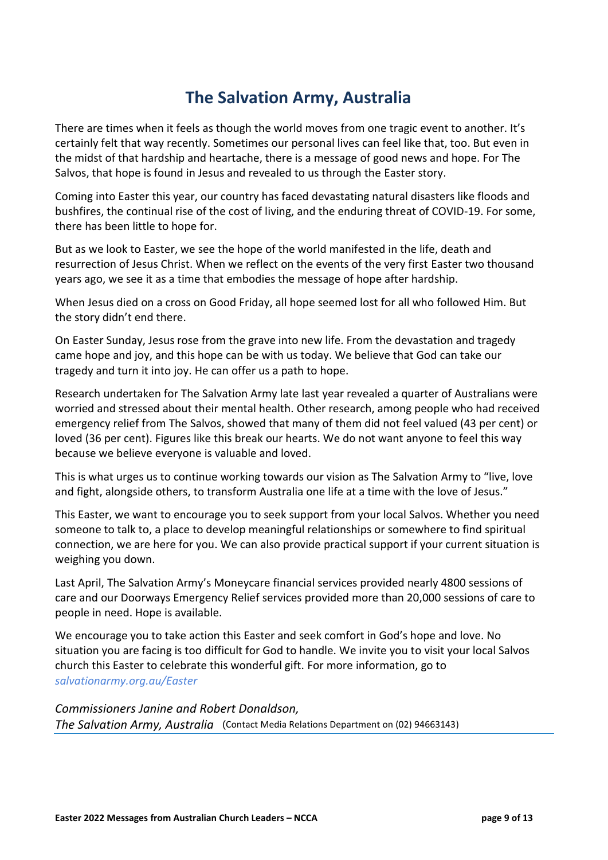### **The Salvation Army, Australia**

There are times when it feels as though the world moves from one tragic event to another. It's certainly felt that way recently. Sometimes our personal lives can feel like that, too. But even in the midst of that hardship and heartache, there is a message of good news and hope. For The Salvos, that hope is found in Jesus and revealed to us through the Easter story.

Coming into Easter this year, our country has faced devastating natural disasters like floods and bushfires, the continual rise of the cost of living, and the enduring threat of COVID-19. For some, there has been little to hope for.

But as we look to Easter, we see the hope of the world manifested in the life, death and resurrection of Jesus Christ. When we reflect on the events of the very first Easter two thousand years ago, we see it as a time that embodies the message of hope after hardship.

When Jesus died on a cross on Good Friday, all hope seemed lost for all who followed Him. But the story didn't end there.

On Easter Sunday, Jesus rose from the grave into new life. From the devastation and tragedy came hope and joy, and this hope can be with us today. We believe that God can take our tragedy and turn it into joy. He can offer us a path to hope.

Research undertaken for The Salvation Army late last year revealed a quarter of Australians were worried and stressed about their mental health. Other research, among people who had received emergency relief from The Salvos, showed that many of them did not feel valued (43 per cent) or loved (36 per cent). Figures like this break our hearts. We do not want anyone to feel this way because we believe everyone is valuable and loved.

This is what urges us to continue working towards our vision as The Salvation Army to "live, love and fight, alongside others, to transform Australia one life at a time with the love of Jesus."

This Easter, we want to encourage you to seek support from your local Salvos. Whether you need someone to talk to, a place to develop meaningful relationships or somewhere to find spiritual connection, we are here for you. We can also provide practical support if your current situation is weighing you down.

Last April, The Salvation Army's Moneycare financial services provided nearly 4800 sessions of care and our Doorways Emergency Relief services provided more than 20,000 sessions of care to people in need. Hope is available.

We encourage you to take action this Easter and seek comfort in God's hope and love. No situation you are facing is too difficult for God to handle. We invite you to visit your local Salvos church this Easter to celebrate this wonderful gift. For more information, go to *[salvationarmy.org.au/Easter](https://www.salvationarmy.org.au/our-faith/easter/)*

*Commissioners Janine and Robert Donaldson, The Salvation Army, Australia* (Contact Media Relations Department on (02) 94663143)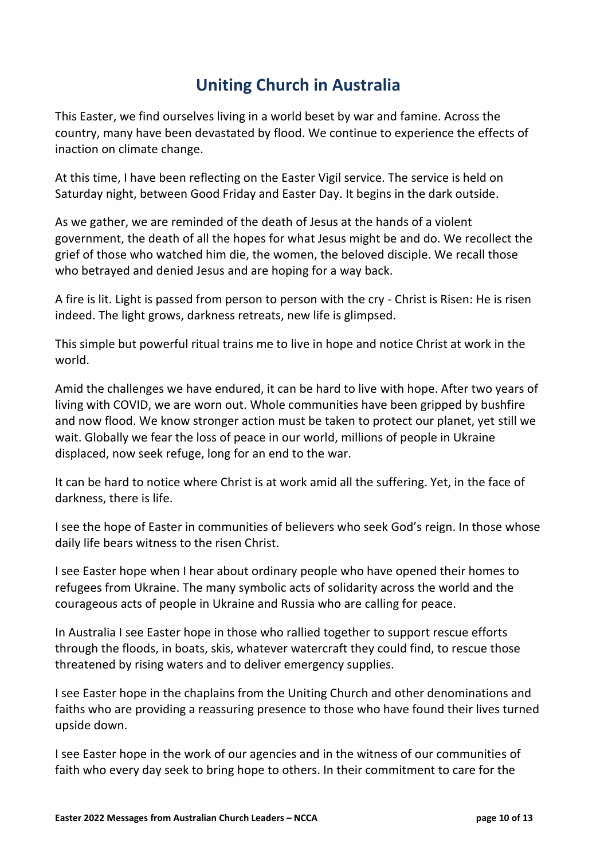### **Uniting Church in Australia**

This Easter, we find ourselves living in a world beset by war and famine. Across the country, many have been devastated by flood. We continue to experience the effects of inaction on climate change.

At this time, I have been reflecting on the Easter Vigil service. The service is held on Saturday night, between Good Friday and Easter Day. It begins in the dark outside.

As we gather, we are reminded of the death of Jesus at the hands of a violent government, the death of all the hopes for what Jesus might be and do. We recollect the grief of those who watched him die, the women, the beloved disciple. We recall those who betrayed and denied Jesus and are hoping for a way back.

A fire is lit. Light is passed from person to person with the cry - Christ is Risen: He is risen indeed. The light grows, darkness retreats, new life is glimpsed.

This simple but powerful ritual trains me to live in hope and notice Christ at work in the world.

Amid the challenges we have endured, it can be hard to live with hope. After two years of living with COVID, we are worn out. Whole communities have been gripped by bushfire and now flood. We know stronger action must be taken to protect our planet, yet still we wait. Globally we fear the loss of peace in our world, millions of people in Ukraine displaced, now seek refuge, long for an end to the war.

It can be hard to notice where Christ is at work amid all the suffering. Yet, in the face of darkness, there is life.

I see the hope of Easter in communities of believers who seek God's reign. In those whose daily life bears witness to the risen Christ.

I see Easter hope when I hear about ordinary people who have opened their homes to refugees from Ukraine. The many symbolic acts of solidarity across the world and the courageous acts of people in Ukraine and Russia who are calling for peace.

In Australia I see Easter hope in those who rallied together to support rescue efforts through the floods, in boats, skis, whatever watercraft they could find, to rescue those threatened by rising waters and to deliver emergency supplies.

I see Easter hope in the chaplains from the Uniting Church and other denominations and faiths who are providing a reassuring presence to those who have found their lives turned upside down.

I see Easter hope in the work of our agencies and in the witness of our communities of faith who every day seek to bring hope to others. In their commitment to care for the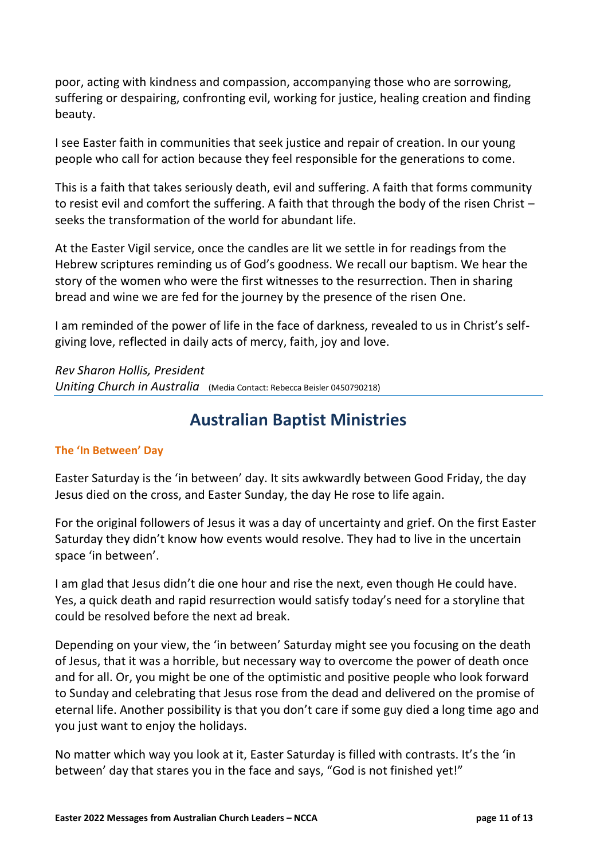poor, acting with kindness and compassion, accompanying those who are sorrowing, suffering or despairing, confronting evil, working for justice, healing creation and finding beauty.

I see Easter faith in communities that seek justice and repair of creation. In our young people who call for action because they feel responsible for the generations to come.

This is a faith that takes seriously death, evil and suffering. A faith that forms community to resist evil and comfort the suffering. A faith that through the body of the risen Christ – seeks the transformation of the world for abundant life.

At the Easter Vigil service, once the candles are lit we settle in for readings from the Hebrew scriptures reminding us of God's goodness. We recall our baptism. We hear the story of the women who were the first witnesses to the resurrection. Then in sharing bread and wine we are fed for the journey by the presence of the risen One.

I am reminded of the power of life in the face of darkness, revealed to us in Christ's selfgiving love, reflected in daily acts of mercy, faith, joy and love.

*Rev Sharon Hollis, President Uniting Church in Australia* (Media Contact: Rebecca Beisler 0450790218)

### **Australian Baptist Ministries**

#### **The 'In Between' Day**

Easter Saturday is the 'in between' day. It sits awkwardly between Good Friday, the day Jesus died on the cross, and Easter Sunday, the day He rose to life again.

For the original followers of Jesus it was a day of uncertainty and grief. On the first Easter Saturday they didn't know how events would resolve. They had to live in the uncertain space 'in between'.

I am glad that Jesus didn't die one hour and rise the next, even though He could have. Yes, a quick death and rapid resurrection would satisfy today's need for a storyline that could be resolved before the next ad break.

Depending on your view, the 'in between' Saturday might see you focusing on the death of Jesus, that it was a horrible, but necessary way to overcome the power of death once and for all. Or, you might be one of the optimistic and positive people who look forward to Sunday and celebrating that Jesus rose from the dead and delivered on the promise of eternal life. Another possibility is that you don't care if some guy died a long time ago and you just want to enjoy the holidays.

No matter which way you look at it, Easter Saturday is filled with contrasts. It's the 'in between' day that stares you in the face and says, "God is not finished yet!"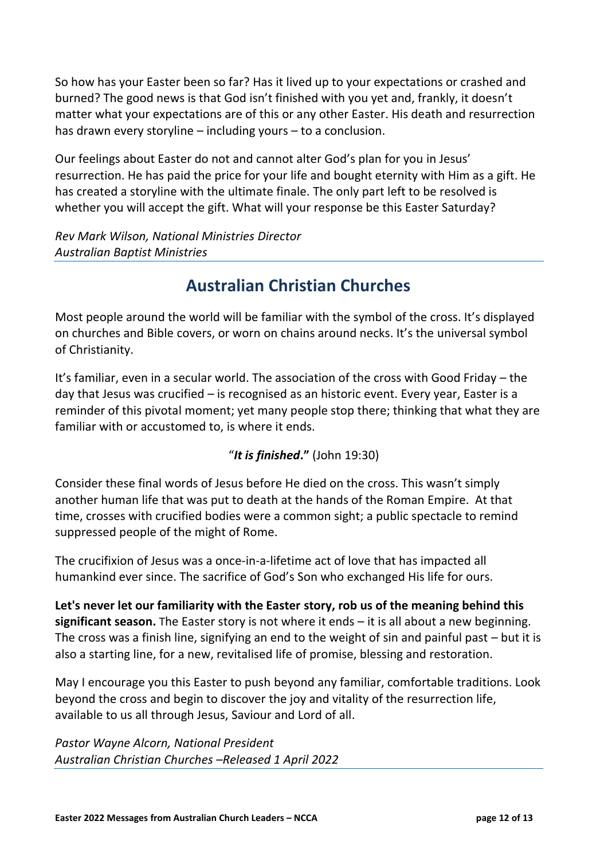So how has your Easter been so far? Has it lived up to your expectations or crashed and burned? The good news is that God isn't finished with you yet and, frankly, it doesn't matter what your expectations are of this or any other Easter. His death and resurrection has drawn every storyline – including yours – to a conclusion.

Our feelings about Easter do not and cannot alter God's plan for you in Jesus' resurrection. He has paid the price for your life and bought eternity with Him as a gift. He has created a storyline with the ultimate finale. The only part left to be resolved is whether you will accept the gift. What will your response be this Easter Saturday?

*Rev Mark Wilson, National Ministries Director Australian Baptist Ministries*

### **Australian Christian Churches**

Most people around the world will be familiar with the symbol of the cross. It's displayed on churches and Bible covers, or worn on chains around necks. It's the universal symbol of Christianity.

It's familiar, even in a secular world. The association of the cross with Good Friday – the day that Jesus was crucified – is recognised as an historic event. Every year, Easter is a reminder of this pivotal moment; yet many people stop there; thinking that what they are familiar with or accustomed to, is where it ends.

"*It is finished***."** (John 19:30)

Consider these final words of Jesus before He died on the cross. This wasn't simply another human life that was put to death at the hands of the Roman Empire. At that time, crosses with crucified bodies were a common sight; a public spectacle to remind suppressed people of the might of Rome.

The crucifixion of Jesus was a once-in-a-lifetime act of love that has impacted all humankind ever since. The sacrifice of God's Son who exchanged His life for ours.

**Let's never let our familiarity with the Easter story, rob us of the meaning behind this significant season.** The Easter story is not where it ends – it is all about a new beginning. The cross was a finish line, signifying an end to the weight of sin and painful past – but it is also a starting line, for a new, revitalised life of promise, blessing and restoration.

May I encourage you this Easter to push beyond any familiar, comfortable traditions. Look beyond the cross and begin to discover the joy and vitality of the resurrection life, available to us all through Jesus, Saviour and Lord of all.

*Pastor Wayne Alcorn, National President Australian Christian Churches –Released 1 April 2022*